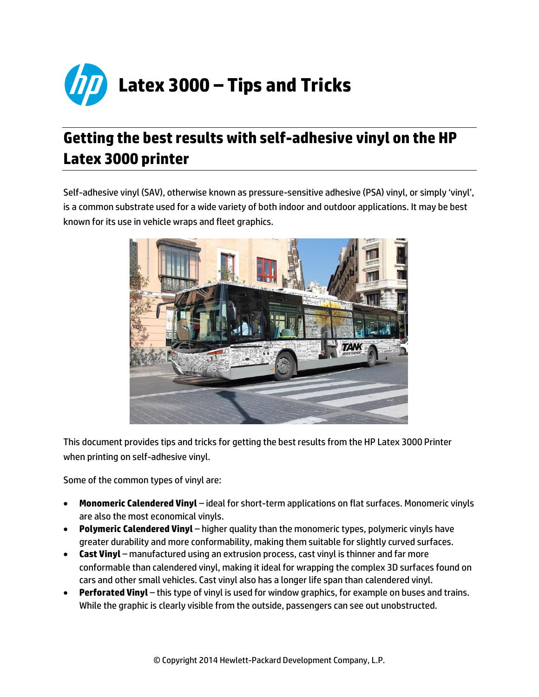

# **Getting the best results with self-adhesive vinyl on the HP Latex 3000 printer**

Self-adhesive vinyl (SAV), otherwise known as pressure-sensitive adhesive (PSA) vinyl, or simply 'vinyl', is a common substrate used for a wide variety of both indoor and outdoor applications. It may be best known for its use in vehicle wraps and fleet graphics.



This document provides tips and tricks for getting the best results from the HP Latex 3000 Printer when printing on self-adhesive vinyl.

Some of the common types of vinyl are:

- **Monomeric Calendered Vinyl** ideal for short-term applications on flat surfaces. Monomeric vinyls are also the most economical vinyls.
- **Polymeric Calendered Vinyl** higher quality than the monomeric types, polymeric vinyls have greater durability and more conformability, making them suitable for slightly curved surfaces.
- **Cast Vinyl** manufactured using an extrusion process, cast vinyl is thinner and far more conformable than calendered vinyl, making it ideal for wrapping the complex 3D surfaces found on cars and other small vehicles. Cast vinyl also has a longer life span than calendered vinyl.
- **Perforated Vinyl** this type of vinyl is used for window graphics, for example on buses and trains. While the graphic is clearly visible from the outside, passengers can see out unobstructed.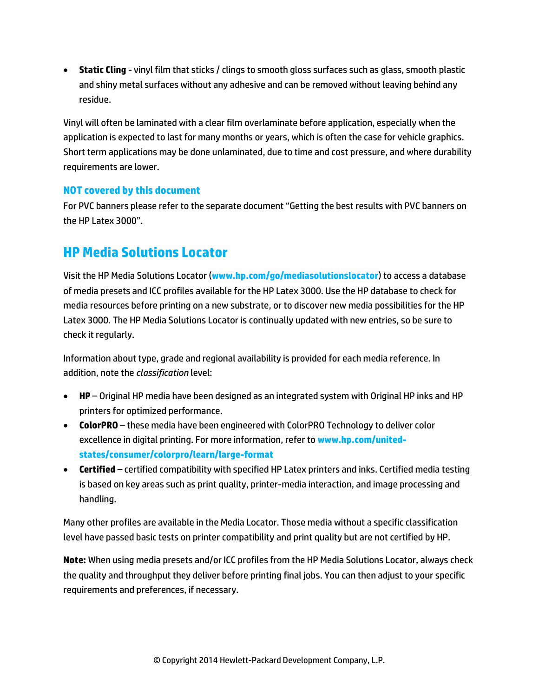**Static Cling** - vinyl film that sticks / clings to smooth gloss surfaces such as glass, smooth plastic and shiny metal surfaces without any adhesive and can be removed without leaving behind any residue.

Vinyl will often be laminated with a clear film overlaminate before application, especially when the application is expected to last for many months or years, which is often the case for vehicle graphics. Short term applications may be done unlaminated, due to time and cost pressure, and where durability requirements are lower.

### **NOT covered by this document**

For PVC banners please refer to the separate document "Getting the best results with PVC banners on the HP Latex 3000".

### **HP Media Solutions Locator**

Visit the HP Media Solutions Locator (**[www.hp.com/go/mediasolutionslocator](file://cov-fp02/Copywriting/Ad%20hoc%20Copywriting/HP/Production/Newsletters/November/PLTW%20-%20Normal%20-%20Getting%20best%20results%20on%20PVC%20Banner/www.hp.com/go/mediasolutionslocator)**) to access a database of media presets and ICC profiles available for the HP Latex 3000. Use the HP database to check for media resources before printing on a new substrate, or to discover new media possibilities for the HP Latex 3000. The HP Media Solutions Locator is continually updated with new entries, so be sure to check it regularly.

Information about type, grade and regional availability is provided for each media reference. In addition, note the *classification* level:

- **HP**  Original HP media have been designed as an integrated system with Original HP inks and HP printers for optimized performance.
- **ColorPRO** these media have been engineered with ColorPRO Technology to deliver color excellence in digital printing. For more information, refer to **[www.hp.com/united](http://www.hp.com/united-states/consumer/colorpro/learn/large-format.html)[states/consumer/colorpro/learn/large-format](http://www.hp.com/united-states/consumer/colorpro/learn/large-format.html)**
- **Certified** certified compatibility with specified HP Latex printers and inks. Certified media testing is based on key areas such as print quality, printer-media interaction, and image processing and handling.

Many other profiles are available in the Media Locator. Those media without a specific classification level have passed basic tests on printer compatibility and print quality but are not certified by HP.

**Note:** When using media presets and/or ICC profiles from the HP Media Solutions Locator, always check the quality and throughput they deliver before printing final jobs. You can then adjust to your specific requirements and preferences, if necessary.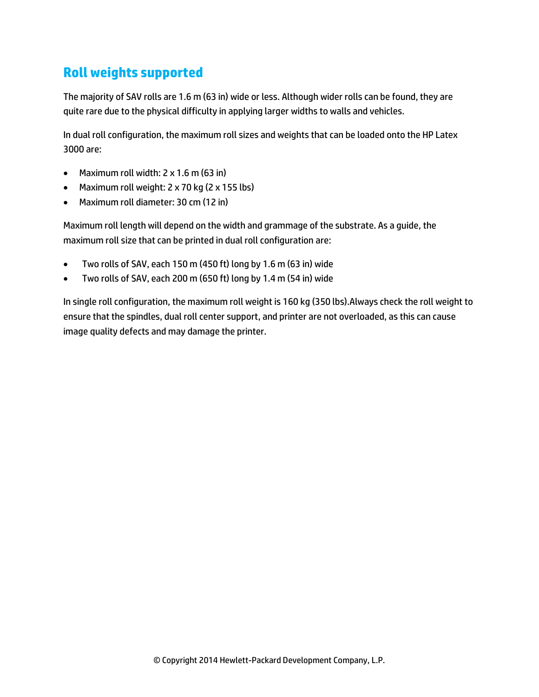## **Roll weights supported**

The majority of SAV rolls are 1.6 m (63 in) wide or less. Although wider rolls can be found, they are quite rare due to the physical difficulty in applying larger widths to walls and vehicles.

In dual roll configuration, the maximum roll sizes and weights that can be loaded onto the HP Latex 3000 are:

- Maximum roll width: 2 x 1.6 m (63 in)
- Maximum roll weight: 2 x 70 kg (2 x 155 lbs)
- Maximum roll diameter: 30 cm (12 in)

Maximum roll length will depend on the width and grammage of the substrate. As a guide, the maximum roll size that can be printed in dual roll configuration are:

- Two rolls of SAV, each 150 m (450 ft) long by 1.6 m (63 in) wide
- Two rolls of SAV, each 200 m (650 ft) long by 1.4 m (54 in) wide

In single roll configuration, the maximum roll weight is 160 kg (350 lbs).Always check the roll weight to ensure that the spindles, dual roll center support, and printer are not overloaded, as this can cause image quality defects and may damage the printer.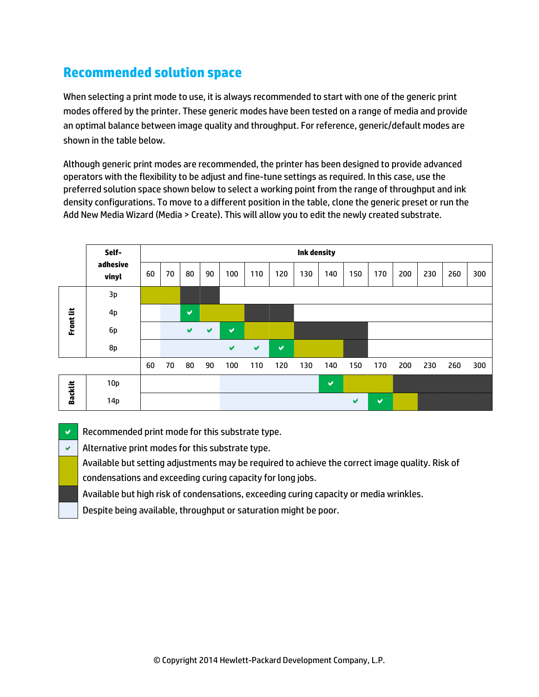## **Recommended solution space**

When selecting a print mode to use, it is always recommended to start with one of the generic print modes offered by the printer. These generic modes have been tested on a range of media and provide an optimal balance between image quality and throughput. For reference, generic/default modes are shown in the table below.

Although generic print modes are recommended, the printer has been designed to provide advanced operators with the flexibility to be adjust and fine-tune settings as required. In this case, use the preferred solution space shown below to select a working point from the range of throughput and ink density configurations. To move to a different position in the table, clone the generic preset or run the Add New Media Wizard (Media > Create). This will allow you to edit the newly created substrate.



 $\vee$  Recommended print mode for this substrate type.

 $\vee$  | Alternative print modes for this substrate type.

Available but setting adjustments may be required to achieve the correct image quality. Risk of

condensations and exceeding curing capacity for long jobs.

Available but high risk of condensations, exceeding curing capacity or media wrinkles.

Despite being available, throughput or saturation might be poor.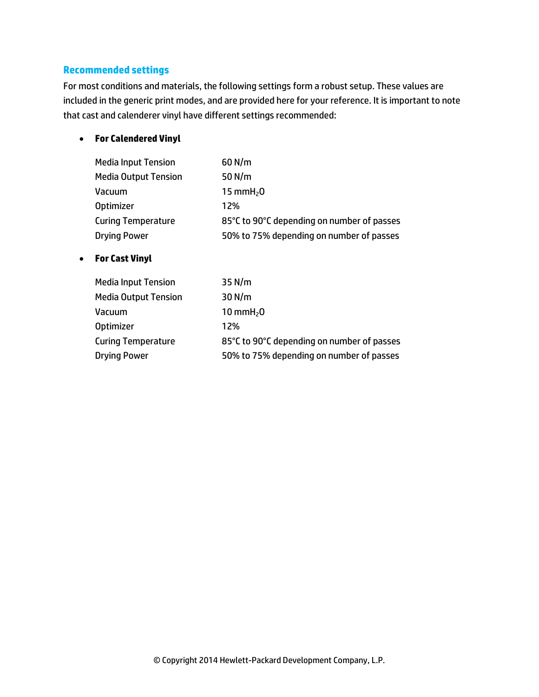### **Recommended settings**

For most conditions and materials, the following settings form a robust setup. These values are included in the generic print modes, and are provided here for your reference. It is important to note that cast and calenderer vinyl have different settings recommended:

### **For Calendered Vinyl**

| <b>Media Input Tension</b>  | $60$ N/m                                   |
|-----------------------------|--------------------------------------------|
| <b>Media Output Tension</b> | 50 $N/m$                                   |
| Vacuum                      | 15 mm $H20$                                |
| <b>Optimizer</b>            | 12%                                        |
| <b>Curing Temperature</b>   | 85°C to 90°C depending on number of passes |
| <b>Drying Power</b>         | 50% to 75% depending on number of passes   |

### **For Cast Vinyl**

| <b>Media Input Tension</b>  | $35$ N/m                                   |
|-----------------------------|--------------------------------------------|
| <b>Media Output Tension</b> | $30$ N/m                                   |
| Vacuum                      | 10 mm $H20$                                |
| <b>Optimizer</b>            | 12%                                        |
| <b>Curing Temperature</b>   | 85°C to 90°C depending on number of passes |
| <b>Drying Power</b>         | 50% to 75% depending on number of passes   |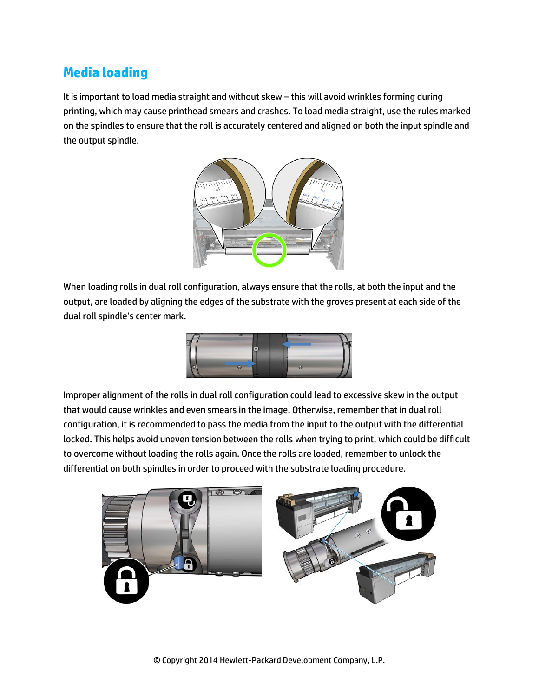## **Media loading**

It is important to load media straight and without skew – this will avoid wrinkles forming during printing, which may cause printhead smears and crashes. To load media straight, use the rules marked on the spindles to ensure that the roll is accurately centered and aligned on both the input spindle and the output spindle.



When loading rolls in dual roll configuration, always ensure that the rolls, at both the input and the output, are loaded by aligning the edges of the substrate with the groves present at each side of the dual roll spindle's center mark.



Improper alignment of the rolls in dual roll configuration could lead to excessive skew in the output that would cause wrinkles and even smears in the image. Otherwise, remember that in dual roll configuration, it is recommended to pass the media from the input to the output with the differential locked. This helps avoid uneven tension between the rolls when trying to print, which could be difficult to overcome without loading the rolls again. Once the rolls are loaded, remember to unlock the differential on both spindles in order to proceed with the substrate loading procedure.

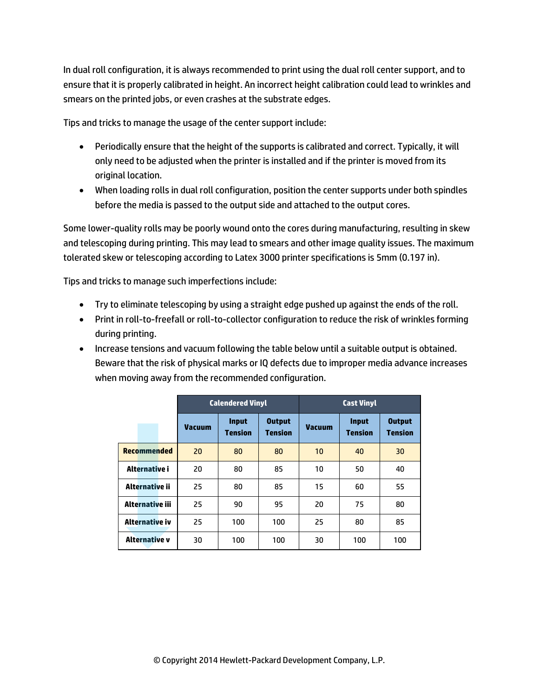In dual roll configuration, it is always recommended to print using the dual roll center support, and to ensure that it is properly calibrated in height. An incorrect height calibration could lead to wrinkles and smears on the printed jobs, or even crashes at the substrate edges.

Tips and tricks to manage the usage of the center support include:

- Periodically ensure that the height of the supports is calibrated and correct. Typically, it will only need to be adjusted when the printer is installed and if the printer is moved from its original location.
- When loading rolls in dual roll configuration, position the center supports under both spindles before the media is passed to the output side and attached to the output cores.

Some lower-quality rolls may be poorly wound onto the cores during manufacturing, resulting in skew and telescoping during printing. This may lead to smears and other image quality issues. The maximum tolerated skew or telescoping according to Latex 3000 printer specifications is 5mm (0.197 in).

Tips and tricks to manage such imperfections include:

- Try to eliminate telescoping by using a straight edge pushed up against the ends of the roll.
- Print in roll-to-freefall or roll-to-collector configuration to reduce the risk of wrinkles forming during printing.
- Increase tensions and vacuum following the table below until a suitable output is obtained. Beware that the risk of physical marks or IQ defects due to improper media advance increases when moving away from the recommended configuration.

|                      | <b>Calendered Vinyl</b> |                                |                                 | <b>Cast Vinyl</b> |                                |                                 |
|----------------------|-------------------------|--------------------------------|---------------------------------|-------------------|--------------------------------|---------------------------------|
|                      | <b>Vacuum</b>           | <b>Input</b><br><b>Tension</b> | <b>Output</b><br><b>Tension</b> | <b>Vacuum</b>     | <b>Input</b><br><b>Tension</b> | <b>Output</b><br><b>Tension</b> |
| <b>Recommended</b>   | 20                      | 80                             | 80                              | 10                | 40                             | 30                              |
| Alternative i        | 20                      | 80                             | 85                              | 10                | 50                             | 40                              |
| Alternative ii       | 25                      | 80                             | 85                              | 15                | 60                             | 55                              |
| Alternative iii      | 25                      | 90                             | 95                              | 20                | 75                             | 80                              |
| Alternative iv       | 25                      | 100                            | 100                             | 25                | 80                             | 85                              |
| <b>Alternative v</b> | 30                      | 100                            | 100                             | 30                | 100                            | 100                             |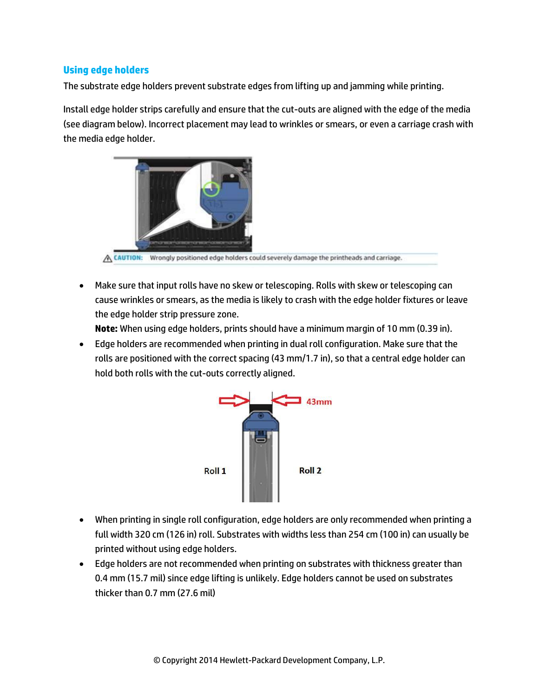### **Using edge holders**

The substrate edge holders prevent substrate edges from lifting up and jamming while printing.

Install edge holder strips carefully and ensure that the cut-outs are aligned with the edge of the media (see diagram below). Incorrect placement may lead to wrinkles or smears, or even a carriage crash with the media edge holder.



A CAUTION: Wrongly positioned edge holders could severely damage the printheads and carriage.

 Make sure that input rolls have no skew or telescoping. Rolls with skew or telescoping can cause wrinkles or smears, as the media is likely to crash with the edge holder fixtures or leave the edge holder strip pressure zone.

**Note:** When using edge holders, prints should have a minimum margin of 10 mm (0.39 in).

 Edge holders are recommended when printing in dual roll configuration. Make sure that the rolls are positioned with the correct spacing (43 mm/1.7 in), so that a central edge holder can hold both rolls with the cut-outs correctly aligned.



- When printing in single roll configuration, edge holders are only recommended when printing a full width 320 cm (126 in) roll. Substrates with widths less than 254 cm (100 in) can usually be printed without using edge holders.
- Edge holders are not recommended when printing on substrates with thickness greater than 0.4 mm (15.7 mil) since edge lifting is unlikely. Edge holders cannot be used on substrates thicker than 0.7 mm (27.6 mil)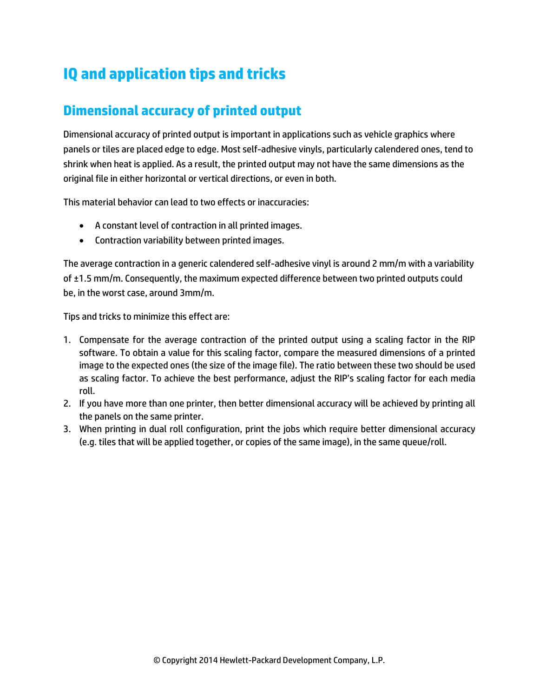# **IQ and application tips and tricks**

## **Dimensional accuracy of printed output**

Dimensional accuracy of printed output is important in applications such as vehicle graphics where panels or tiles are placed edge to edge. Most self-adhesive vinyls, particularly calendered ones, tend to shrink when heat is applied. As a result, the printed output may not have the same dimensions as the original file in either horizontal or vertical directions, or even in both.

This material behavior can lead to two effects or inaccuracies:

- A constant level of contraction in all printed images.
- Contraction variability between printed images.

The average contraction in a generic calendered self-adhesive vinyl is around 2 mm/m with a variability of ±1.5 mm/m. Consequently, the maximum expected difference between two printed outputs could be, in the worst case, around 3mm/m.

Tips and tricks to minimize this effect are:

- 1. Compensate for the average contraction of the printed output using a scaling factor in the RIP software. To obtain a value for this scaling factor, compare the measured dimensions of a printed image to the expected ones (the size of the image file). The ratio between these two should be used as scaling factor. To achieve the best performance, adjust the RIP's scaling factor for each media roll.
- 2. If you have more than one printer, then better dimensional accuracy will be achieved by printing all the panels on the same printer.
- 3. When printing in dual roll configuration, print the jobs which require better dimensional accuracy (e.g. tiles that will be applied together, or copies of the same image), in the same queue/roll.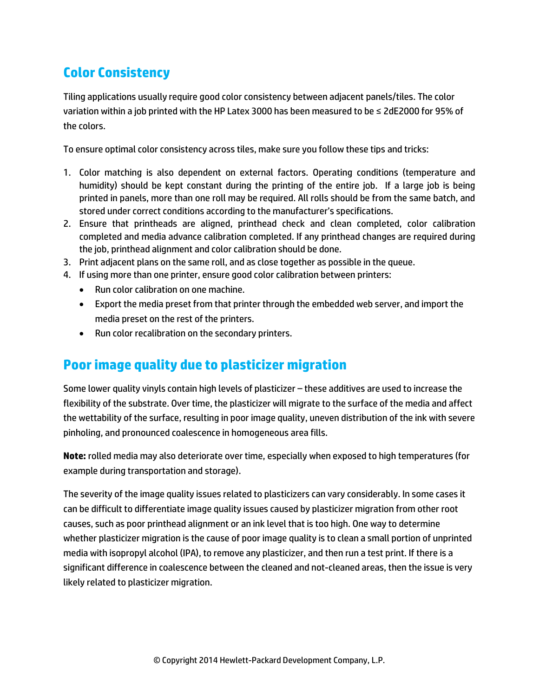## **Color Consistency**

Tiling applications usually require good color consistency between adjacent panels/tiles. The color variation within a job printed with the HP Latex 3000 has been measured to be ≤ 2dE2000 for 95% of the colors.

To ensure optimal color consistency across tiles, make sure you follow these tips and tricks:

- 1. Color matching is also dependent on external factors. Operating conditions (temperature and humidity) should be kept constant during the printing of the entire job. If a large job is being printed in panels, more than one roll may be required. All rolls should be from the same batch, and stored under correct conditions according to the manufacturer's specifications.
- 2. Ensure that printheads are aligned, printhead check and clean completed, color calibration completed and media advance calibration completed. If any printhead changes are required during the job, printhead alignment and color calibration should be done.
- 3. Print adjacent plans on the same roll, and as close together as possible in the queue.
- 4. If using more than one printer, ensure good color calibration between printers:
	- Run color calibration on one machine.
	- Export the media preset from that printer through the embedded web server, and import the media preset on the rest of the printers.
	- Run color recalibration on the secondary printers.

## **Poor image quality due to plasticizer migration**

Some lower quality vinyls contain high levels of plasticizer – these additives are used to increase the flexibility of the substrate. Over time, the plasticizer will migrate to the surface of the media and affect the wettability of the surface, resulting in poor image quality, uneven distribution of the ink with severe pinholing, and pronounced coalescence in homogeneous area fills.

**Note:** rolled media may also deteriorate over time, especially when exposed to high temperatures (for example during transportation and storage).

The severity of the image quality issues related to plasticizers can vary considerably. In some cases it can be difficult to differentiate image quality issues caused by plasticizer migration from other root causes, such as poor printhead alignment or an ink level that is too high. One way to determine whether plasticizer migration is the cause of poor image quality is to clean a small portion of unprinted media with isopropyl alcohol (IPA), to remove any plasticizer, and then run a test print. If there is a significant difference in coalescence between the cleaned and not-cleaned areas, then the issue is very likely related to plasticizer migration.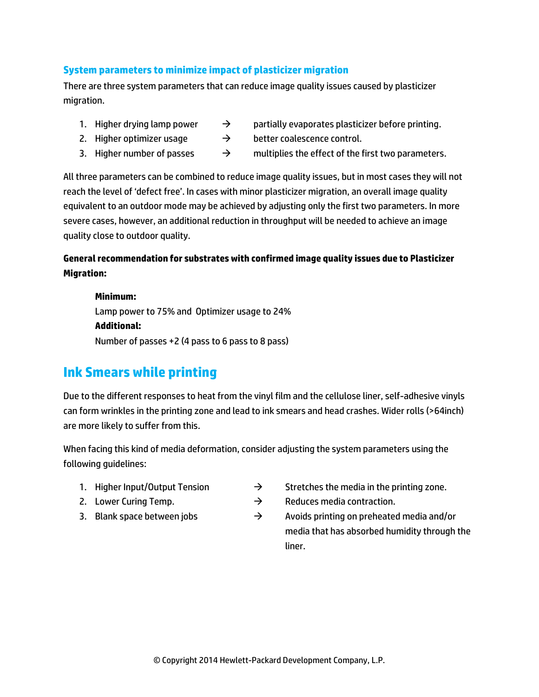### **System parameters to minimize impact of plasticizer migration**

There are three system parameters that can reduce image quality issues caused by plasticizer migration.

- 
- 1. Higher drying lamp power  $\rightarrow$  partially evaporates plasticizer before printing.
- 2. Higher optimizer usage  $\rightarrow$  better coalescence control.
- 3. Higher number of passes  $\rightarrow$  multiplies the effect of the first two parameters.

All three parameters can be combined to reduce image quality issues, but in most cases they will not reach the level of 'defect free'. In cases with minor plasticizer migration, an overall image quality equivalent to an outdoor mode may be achieved by adjusting only the first two parameters. In more severe cases, however, an additional reduction in throughput will be needed to achieve an image quality close to outdoor quality.

### **General recommendation for substrates with confirmed image quality issues due to Plasticizer Migration:**

#### **Minimum:**

Lamp power to 75% and Optimizer usage to 24% **Additional:**  Number of passes +2 (4 pass to 6 pass to 8 pass)

### **Ink Smears while printing**

Due to the different responses to heat from the vinyl film and the cellulose liner, self-adhesive vinyls can form wrinkles in the printing zone and lead to ink smears and head crashes. Wider rolls (>64inch) are more likely to suffer from this.

When facing this kind of media deformation, consider adjusting the system parameters using the following guidelines:

- 
- 
- 
- 1. Higher Input/Output Tension  $\rightarrow$  Stretches the media in the printing zone.
- 2. Lower Curing Temp.  $\rightarrow$  Reduces media contraction.
- 3. Blank space between jobs  $\rightarrow$  Avoids printing on preheated media and/or media that has absorbed humidity through the liner.